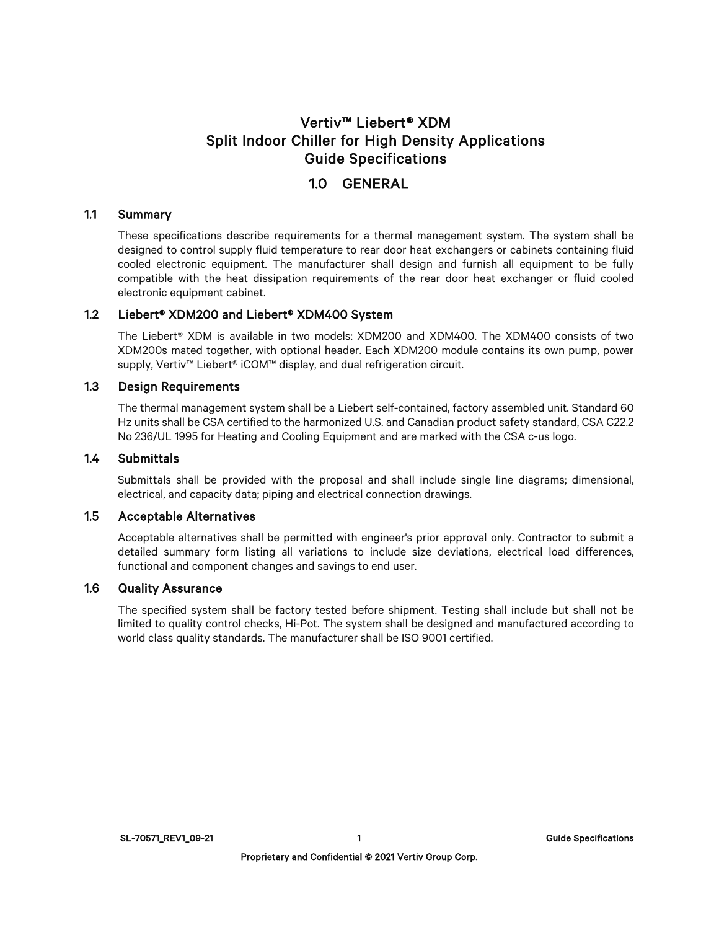# Vertiv™ Liebert® XDM Split Indoor Chiller for High Density Applications Guide Specifications

# 1.0 GENERAL

#### 1.1 Summary

These specifications describe requirements for a thermal management system. The system shall be designed to control supply fluid temperature to rear door heat exchangers or cabinets containing fluid cooled electronic equipment. The manufacturer shall design and furnish all equipment to be fully compatible with the heat dissipation requirements of the rear door heat exchanger or fluid cooled electronic equipment cabinet.

# 1.2 Liebert® XDM200 and Liebert® XDM400 System

The Liebert® XDM is available in two models: XDM200 and XDM400. The XDM400 consists of two XDM200s mated together, with optional header. Each XDM200 module contains its own pump, power supply, Vertiv<sup>™</sup> Liebert<sup>®</sup> iCOM™ display, and dual refrigeration circuit.

# 1.3 Design Requirements

The thermal management system shall be a Liebert self-contained, factory assembled unit. Standard 60 Hz units shall be CSA certified to the harmonized U.S. and Canadian product safety standard, CSA C22.2 No 236/UL 1995 for Heating and Cooling Equipment and are marked with the CSA c-us logo.

#### 1.4 Submittals

Submittals shall be provided with the proposal and shall include single line diagrams; dimensional, electrical, and capacity data; piping and electrical connection drawings.

# 1.5 Acceptable Alternatives

Acceptable alternatives shall be permitted with engineer's prior approval only. Contractor to submit a detailed summary form listing all variations to include size deviations, electrical load differences, functional and component changes and savings to end user.

# 1.6 Quality Assurance

The specified system shall be factory tested before shipment. Testing shall include but shall not be limited to quality control checks, Hi-Pot. The system shall be designed and manufactured according to world class quality standards. The manufacturer shall be ISO 9001 certified.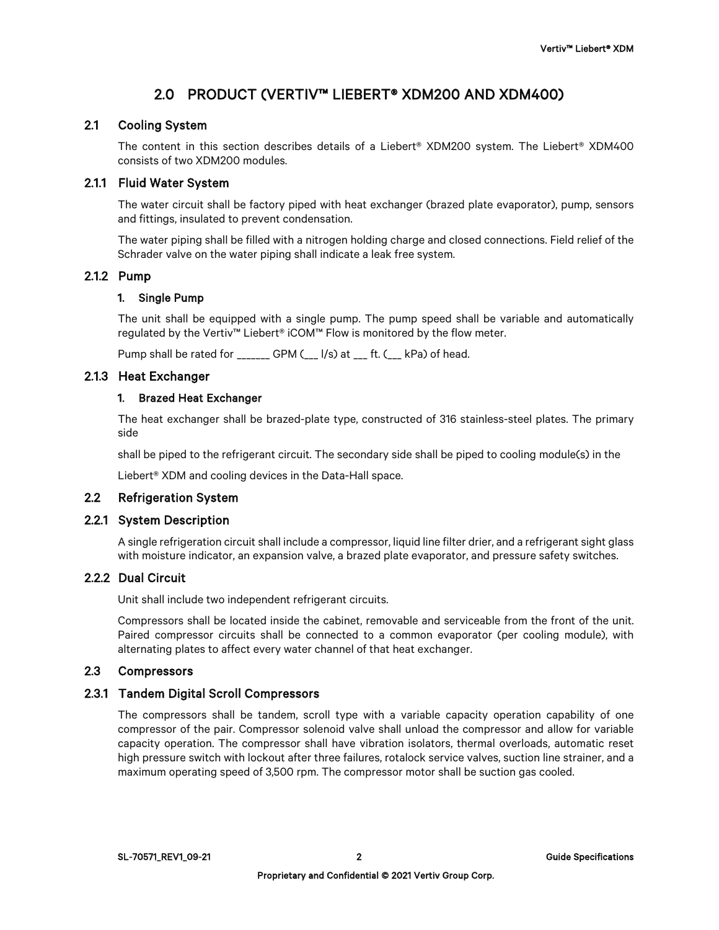# 2.0 PRODUCT (VERTIV™ LIEBERT® XDM200 AND XDM400)

# 2.1 Cooling System

The content in this section describes details of a Liebert® XDM200 system. The Liebert® XDM400 consists of two XDM200 modules.

# 2.1.1 Fluid Water System

The water circuit shall be factory piped with heat exchanger (brazed plate evaporator), pump, sensors and fittings, insulated to prevent condensation.

The water piping shall be filled with a nitrogen holding charge and closed connections. Field relief of the Schrader valve on the water piping shall indicate a leak free system.

# 2.1.2 Pump

# 1. Single Pump

The unit shall be equipped with a single pump. The pump speed shall be variable and automatically regulated by the Vertiv™ Liebert® iCOM™ Flow is monitored by the flow meter.

Pump shall be rated for \_\_\_\_\_\_\_ GPM (\_\_\_ l/s) at \_\_\_ ft. (\_\_\_ kPa) of head.

# 2.1.3 Heat Exchanger

# 1. Brazed Heat Exchanger

The heat exchanger shall be brazed-plate type, constructed of 316 stainless-steel plates. The primary side

shall be piped to the refrigerant circuit. The secondary side shall be piped to cooling module(s) in the

Liebert® XDM and cooling devices in the Data-Hall space.

# 2.2 Refrigeration System

#### 2.2.1 System Description

A single refrigeration circuit shall include a compressor, liquid line filter drier, and a refrigerant sight glass with moisture indicator, an expansion valve, a brazed plate evaporator, and pressure safety switches.

# 2.2.2 Dual Circuit

Unit shall include two independent refrigerant circuits.

Compressors shall be located inside the cabinet, removable and serviceable from the front of the unit. Paired compressor circuits shall be connected to a common evaporator (per cooling module), with alternating plates to affect every water channel of that heat exchanger.

# 2.3 Compressors

# 2.3.1 Tandem Digital Scroll Compressors

The compressors shall be tandem, scroll type with a variable capacity operation capability of one compressor of the pair. Compressor solenoid valve shall unload the compressor and allow for variable capacity operation. The compressor shall have vibration isolators, thermal overloads, automatic reset high pressure switch with lockout after three failures, rotalock service valves, suction line strainer, and a maximum operating speed of 3,500 rpm. The compressor motor shall be suction gas cooled.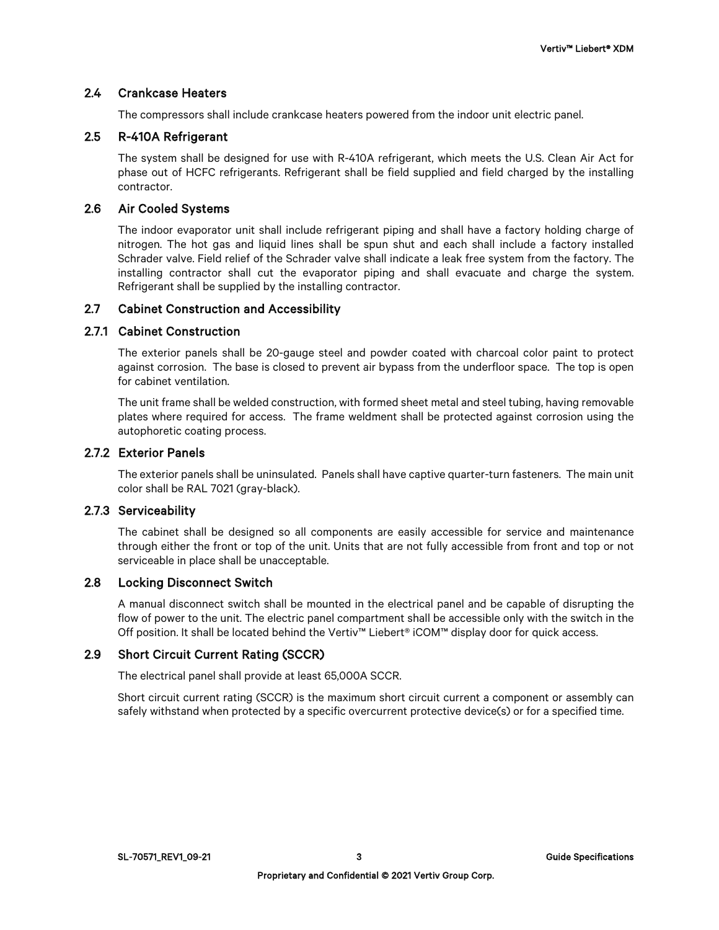# 2.4 Crankcase Heaters

The compressors shall include crankcase heaters powered from the indoor unit electric panel.

# 2.5 R-410A Refrigerant

The system shall be designed for use with R-410A refrigerant, which meets the U.S. Clean Air Act for phase out of HCFC refrigerants. Refrigerant shall be field supplied and field charged by the installing contractor.

# 2.6 Air Cooled Systems

The indoor evaporator unit shall include refrigerant piping and shall have a factory holding charge of nitrogen. The hot gas and liquid lines shall be spun shut and each shall include a factory installed Schrader valve. Field relief of the Schrader valve shall indicate a leak free system from the factory. The installing contractor shall cut the evaporator piping and shall evacuate and charge the system. Refrigerant shall be supplied by the installing contractor.

# 2.7 Cabinet Construction and Accessibility

# 2.7.1 Cabinet Construction

The exterior panels shall be 20-gauge steel and powder coated with charcoal color paint to protect against corrosion. The base is closed to prevent air bypass from the underfloor space. The top is open for cabinet ventilation.

The unit frame shall be welded construction, with formed sheet metal and steel tubing, having removable plates where required for access. The frame weldment shall be protected against corrosion using the autophoretic coating process.

# 2.7.2 Exterior Panels

The exterior panels shall be uninsulated. Panels shall have captive quarter-turn fasteners. The main unit color shall be RAL 7021 (gray-black).

#### 2.7.3 Serviceability

The cabinet shall be designed so all components are easily accessible for service and maintenance through either the front or top of the unit. Units that are not fully accessible from front and top or not serviceable in place shall be unacceptable.

# 2.8 Locking Disconnect Switch

A manual disconnect switch shall be mounted in the electrical panel and be capable of disrupting the flow of power to the unit. The electric panel compartment shall be accessible only with the switch in the Off position. It shall be located behind the Vertiv™ Liebert® iCOM™ display door for quick access.

# 2.9 Short Circuit Current Rating (SCCR)

The electrical panel shall provide at least 65,000A SCCR.

Short circuit current rating (SCCR) is the maximum short circuit current a component or assembly can safely withstand when protected by a specific overcurrent protective device(s) or for a specified time.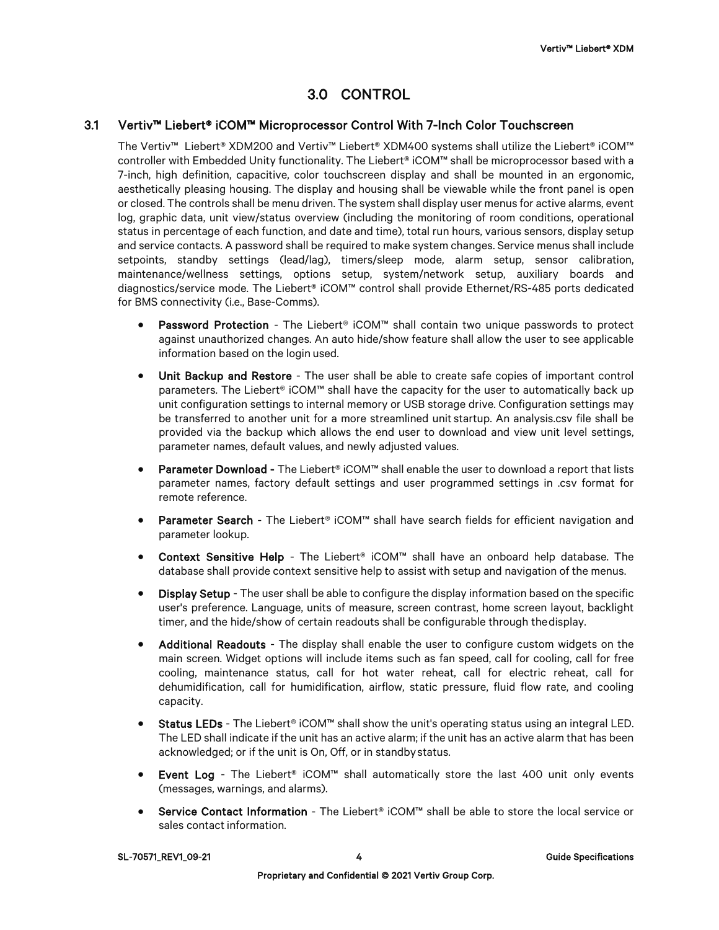# 3.0 CONTROL

# 3.1 Vertiv™ Liebert® iCOM™ Microprocessor Control With 7-Inch Color Touchscreen

The Vertiv™ Liebert® XDM200 and Vertiv™ Liebert® XDM400 systems shall utilize the Liebert® iCOM™ controller with Embedded Unity functionality. The Liebert® iCOM™ shall be microprocessor based with a 7-inch, high definition, capacitive, color touchscreen display and shall be mounted in an ergonomic, aesthetically pleasing housing. The display and housing shall be viewable while the front panel is open or closed. The controls shall be menu driven. The system shall display user menus for active alarms, event log, graphic data, unit view/status overview (including the monitoring of room conditions, operational status in percentage of each function, and date and time), total run hours, various sensors, display setup and service contacts. A password shall be required to make system changes. Service menus shall include setpoints, standby settings (lead/lag), timers/sleep mode, alarm setup, sensor calibration, maintenance/wellness settings, options setup, system/network setup, auxiliary boards and diagnostics/service mode. The Liebert® iCOM™ control shall provide Ethernet/RS-485 ports dedicated for BMS connectivity (i.e., Base-Comms).

- Password Protection The Liebert® iCOM™ shall contain two unique passwords to protect against unauthorized changes. An auto hide/show feature shall allow the user to see applicable information based on the login used.
- Unit Backup and Restore The user shall be able to create safe copies of important control parameters. The Liebert® iCOM™ shall have the capacity for the user to automatically back up unit configuration settings to internal memory or USB storage drive. Configuration settings may be transferred to another unit for a more streamlined unit startup. An analysis.csv file shall be provided via the backup which allows the end user to download and view unit level settings, parameter names, default values, and newly adjusted values.
- Parameter Download The Liebert® iCOM™ shall enable the user to download a report that lists parameter names, factory default settings and user programmed settings in .csv format for remote reference.
- **Parameter Search** The Liebert® iCOM™ shall have search fields for efficient navigation and parameter lookup.
- Context Sensitive Help The Liebert® iCOM™ shall have an onboard help database. The database shall provide context sensitive help to assist with setup and navigation of the menus.
- Display Setup The user shall be able to configure the display information based on the specific user's preference. Language, units of measure, screen contrast, home screen layout, backlight timer, and the hide/show of certain readouts shall be configurable through thedisplay.
- Additional Readouts The display shall enable the user to configure custom widgets on the main screen. Widget options will include items such as fan speed, call for cooling, call for free cooling, maintenance status, call for hot water reheat, call for electric reheat, call for dehumidification, call for humidification, airflow, static pressure, fluid flow rate, and cooling capacity.
- Status LEDs The Liebert® iCOM™ shall show the unit's operating status using an integral LED. The LED shall indicate if the unit has an active alarm; if the unit has an active alarm that has been acknowledged; or if the unit is On, Off, or in standbystatus.
- Event Log The Liebert® iCOM™ shall automatically store the last 400 unit only events (messages, warnings, and alarms).
- Service Contact Information The Liebert® iCOM™ shall be able to store the local service or sales contact information.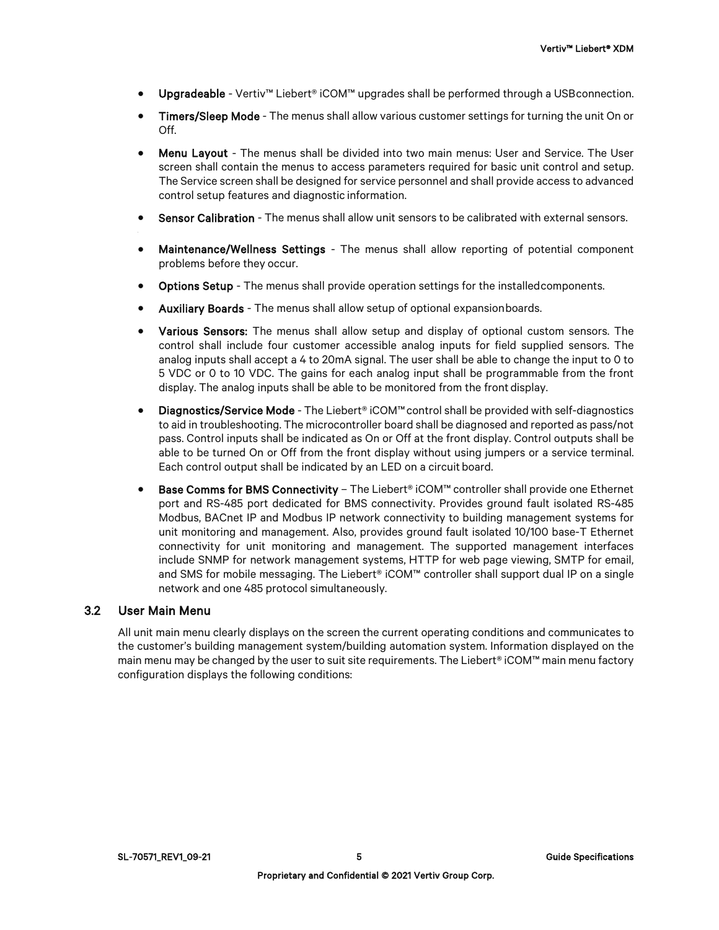- Upgradeable Vertiv™ Liebert® iCOM™ upgrades shall be performed through a USBconnection.
- Timers/Sleep Mode The menus shall allow various customer settings for turning the unit On or Off.
- Menu Layout The menus shall be divided into two main menus: User and Service. The User screen shall contain the menus to access parameters required for basic unit control and setup. The Service screen shall be designed for service personnel and shall provide access to advanced control setup features and diagnostic information.
- Sensor Calibration The menus shall allow unit sensors to be calibrated with external sensors.
- Maintenance/Wellness Settings The menus shall allow reporting of potential component problems before they occur.
- Options Setup The menus shall provide operation settings for the installedcomponents.
- Auxiliary Boards The menus shall allow setup of optional expansionboards.
- Various Sensors: The menus shall allow setup and display of optional custom sensors. The control shall include four customer accessible analog inputs for field supplied sensors. The analog inputs shall accept a 4 to 20mA signal. The user shall be able to change the input to 0 to 5 VDC or 0 to 10 VDC. The gains for each analog input shall be programmable from the front display. The analog inputs shall be able to be monitored from the front display.
- Diagnostics/Service Mode The Liebert® iCOM™control shall be provided with self-diagnostics to aid in troubleshooting. The microcontroller board shall be diagnosed and reported as pass/not pass. Control inputs shall be indicated as On or Off at the front display. Control outputs shall be able to be turned On or Off from the front display without using jumpers or a service terminal. Each control output shall be indicated by an LED on a circuit board.
- Base Comms for BMS Connectivity The Liebert® iCOM™ controller shall provide one Ethernet port and RS-485 port dedicated for BMS connectivity. Provides ground fault isolated RS-485 Modbus, BACnet IP and Modbus IP network connectivity to building management systems for unit monitoring and management. Also, provides ground fault isolated 10/100 base-T Ethernet connectivity for unit monitoring and management. The supported management interfaces include SNMP for network management systems, HTTP for web page viewing, SMTP for email, and SMS for mobile messaging. The Liebert® iCOM™ controller shall support dual IP on a single network and one 485 protocol simultaneously.

#### 3.2 User Main Menu

All unit main menu clearly displays on the screen the current operating conditions and communicates to the customer's building management system/building automation system. Information displayed on the main menu may be changed by the user to suit site requirements. The Liebert® iCOM™ main menu factory configuration displays the following conditions: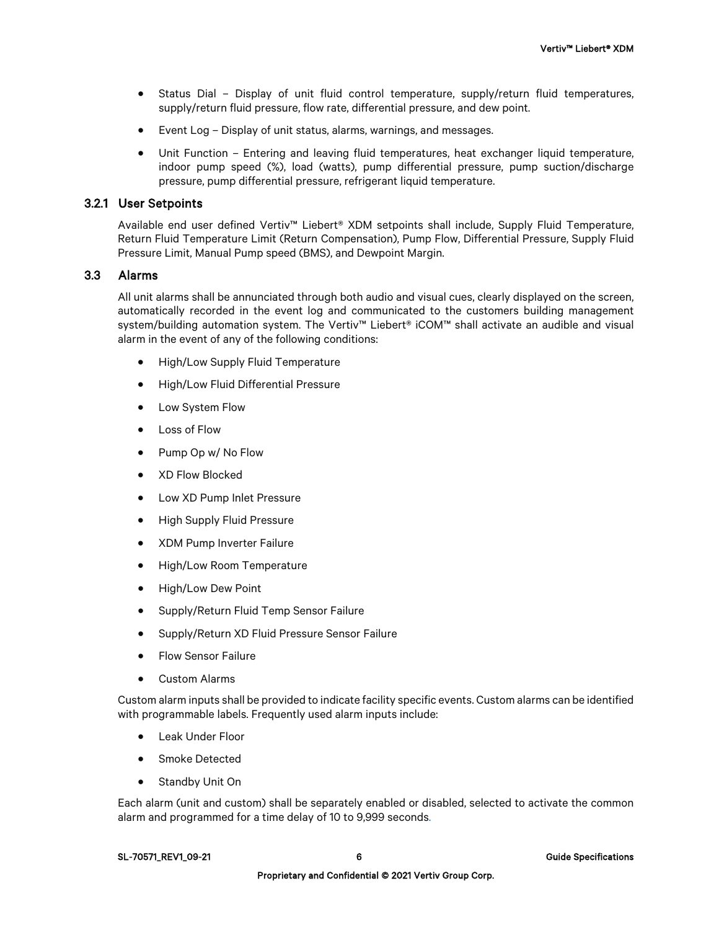- Status Dial Display of unit fluid control temperature, supply/return fluid temperatures, supply/return fluid pressure, flow rate, differential pressure, and dew point.
- Event Log Display of unit status, alarms, warnings, and messages.
- Unit Function Entering and leaving fluid temperatures, heat exchanger liquid temperature, indoor pump speed (%), load (watts), pump differential pressure, pump suction/discharge pressure, pump differential pressure, refrigerant liquid temperature.

# 3.2.1 User Setpoints

Available end user defined Vertiv™ Liebert® XDM setpoints shall include, Supply Fluid Temperature, Return Fluid Temperature Limit (Return Compensation), Pump Flow, Differential Pressure, Supply Fluid Pressure Limit, Manual Pump speed (BMS), and Dewpoint Margin.

#### 3.3 Alarms

All unit alarms shall be annunciated through both audio and visual cues, clearly displayed on the screen, automatically recorded in the event log and communicated to the customers building management system/building automation system. The Vertiv™ Liebert® iCOM™ shall activate an audible and visual alarm in the event of any of the following conditions:

- High/Low Supply Fluid Temperature
- High/Low Fluid Differential Pressure
- Low System Flow
- Loss of Flow
- Pump Op w/ No Flow
- XD Flow Blocked
- Low XD Pump Inlet Pressure
- High Supply Fluid Pressure
- XDM Pump Inverter Failure
- High/Low Room Temperature
- High/Low Dew Point
- Supply/Return Fluid Temp Sensor Failure
- Supply/Return XD Fluid Pressure Sensor Failure
- Flow Sensor Failure
- Custom Alarms

Custom alarm inputs shall be provided to indicate facility specific events. Custom alarms can be identified with programmable labels. Frequently used alarm inputs include:

- Leak Under Floor
- Smoke Detected
- Standby Unit On

Each alarm (unit and custom) shall be separately enabled or disabled, selected to activate the common alarm and programmed for a time delay of 10 to 9,999 seconds.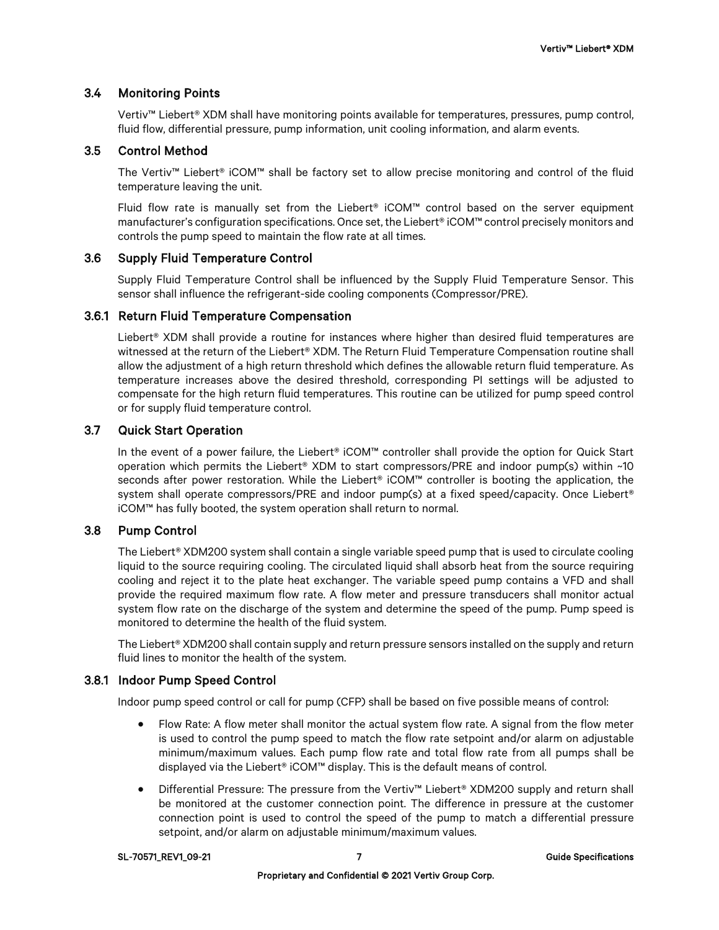# 3.4 Monitoring Points

Vertiv™ Liebert® XDM shall have monitoring points available for temperatures, pressures, pump control, fluid flow, differential pressure, pump information, unit cooling information, and alarm events.

# 3.5 Control Method

The Vertiv™ Liebert® iCOM™ shall be factory set to allow precise monitoring and control of the fluid temperature leaving the unit.

Fluid flow rate is manually set from the Liebert® iCOM™ control based on the server equipment manufacturer's configuration specifications. Once set, the Liebert® iCOM™ control precisely monitors and controls the pump speed to maintain the flow rate at all times.

# 3.6 Supply Fluid Temperature Control

Supply Fluid Temperature Control shall be influenced by the Supply Fluid Temperature Sensor. This sensor shall influence the refrigerant-side cooling components (Compressor/PRE).

# 3.6.1 Return Fluid Temperature Compensation

Liebert® XDM shall provide a routine for instances where higher than desired fluid temperatures are witnessed at the return of the Liebert® XDM. The Return Fluid Temperature Compensation routine shall allow the adjustment of a high return threshold which defines the allowable return fluid temperature. As temperature increases above the desired threshold, corresponding PI settings will be adjusted to compensate for the high return fluid temperatures. This routine can be utilized for pump speed control or for supply fluid temperature control.

# 3.7 Quick Start Operation

In the event of a power failure, the Liebert® iCOM™ controller shall provide the option for Quick Start operation which permits the Liebert® XDM to start compressors/PRE and indoor pump(s) within ~10 seconds after power restoration. While the Liebert® iCOM™ controller is booting the application, the system shall operate compressors/PRE and indoor pump(s) at a fixed speed/capacity. Once Liebert® iCOM™ has fully booted, the system operation shall return to normal.

# 3.8 Pump Control

The Liebert<sup>®</sup> XDM200 system shall contain a single variable speed pump that is used to circulate cooling liquid to the source requiring cooling. The circulated liquid shall absorb heat from the source requiring cooling and reject it to the plate heat exchanger. The variable speed pump contains a VFD and shall provide the required maximum flow rate. A flow meter and pressure transducers shall monitor actual system flow rate on the discharge of the system and determine the speed of the pump. Pump speed is monitored to determine the health of the fluid system.

The Liebert® XDM200 shall contain supply and return pressure sensors installed on the supply and return fluid lines to monitor the health of the system.

# 3.8.1 Indoor Pump Speed Control

Indoor pump speed control or call for pump (CFP) shall be based on five possible means of control:

- Flow Rate: A flow meter shall monitor the actual system flow rate. A signal from the flow meter is used to control the pump speed to match the flow rate setpoint and/or alarm on adjustable minimum/maximum values. Each pump flow rate and total flow rate from all pumps shall be displayed via the Liebert® iCOM™ display. This is the default means of control.
- Differential Pressure: The pressure from the Vertiv™ Liebert® XDM200 supply and return shall be monitored at the customer connection point. The difference in pressure at the customer connection point is used to control the speed of the pump to match a differential pressure setpoint, and/or alarm on adjustable minimum/maximum values.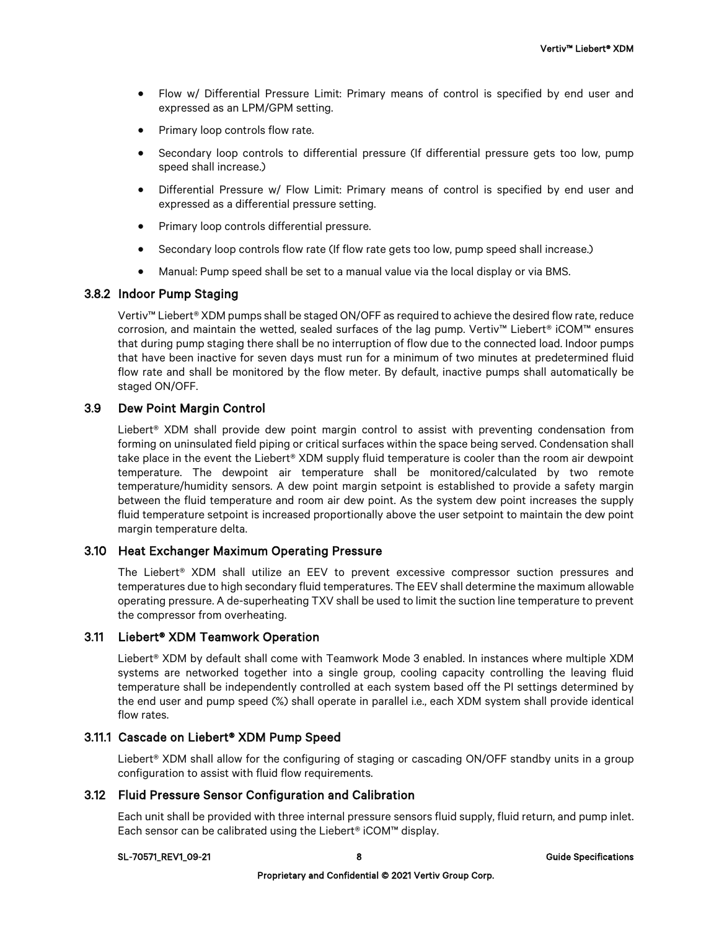- Flow w/ Differential Pressure Limit: Primary means of control is specified by end user and expressed as an LPM/GPM setting.
- Primary loop controls flow rate.
- Secondary loop controls to differential pressure (If differential pressure gets too low, pump speed shall increase.)
- Differential Pressure w/ Flow Limit: Primary means of control is specified by end user and expressed as a differential pressure setting.
- Primary loop controls differential pressure.
- Secondary loop controls flow rate (If flow rate gets too low, pump speed shall increase.)
- Manual: Pump speed shall be set to a manual value via the local display or via BMS.

# 3.8.2 Indoor Pump Staging

Vertiv™ Liebert® XDM pumps shall be staged ON/OFF as required to achieve the desired flow rate, reduce corrosion, and maintain the wetted, sealed surfaces of the lag pump. Vertiv™ Liebert® iCOM™ ensures that during pump staging there shall be no interruption of flow due to the connected load. Indoor pumps that have been inactive for seven days must run for a minimum of two minutes at predetermined fluid flow rate and shall be monitored by the flow meter. By default, inactive pumps shall automatically be staged ON/OFF.

#### 3.9 Dew Point Margin Control

Liebert® XDM shall provide dew point margin control to assist with preventing condensation from forming on uninsulated field piping or critical surfaces within the space being served. Condensation shall take place in the event the Liebert® XDM supply fluid temperature is cooler than the room air dewpoint temperature. The dewpoint air temperature shall be monitored/calculated by two remote temperature/humidity sensors. A dew point margin setpoint is established to provide a safety margin between the fluid temperature and room air dew point. As the system dew point increases the supply fluid temperature setpoint is increased proportionally above the user setpoint to maintain the dew point margin temperature delta.

#### 3.10 Heat Exchanger Maximum Operating Pressure

The Liebert® XDM shall utilize an EEV to prevent excessive compressor suction pressures and temperatures due to high secondary fluid temperatures. The EEV shall determine the maximum allowable operating pressure. A de-superheating TXV shall be used to limit the suction line temperature to prevent the compressor from overheating.

#### 3.11 Liebert® XDM Teamwork Operation

Liebert® XDM by default shall come with Teamwork Mode 3 enabled. In instances where multiple XDM systems are networked together into a single group, cooling capacity controlling the leaving fluid temperature shall be independently controlled at each system based off the PI settings determined by the end user and pump speed (%) shall operate in parallel i.e., each XDM system shall provide identical flow rates.

# 3.11.1 Cascade on Liebert® XDM Pump Speed

Liebert<sup>®</sup> XDM shall allow for the configuring of staging or cascading ON/OFF standby units in a group configuration to assist with fluid flow requirements.

#### 3.12 Fluid Pressure Sensor Configuration and Calibration

Each unit shall be provided with three internal pressure sensors fluid supply, fluid return, and pump inlet. Each sensor can be calibrated using the Liebert® iCOM™ display.

#### SL-70571\_REV1\_09-21 8 Guide Specifications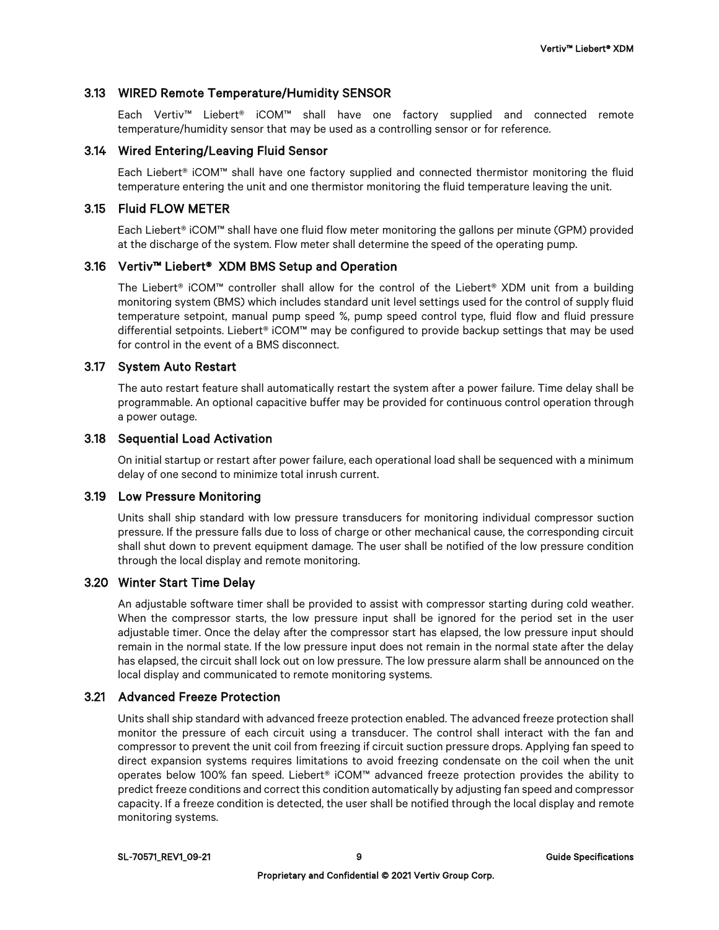# 3.13 WIRED Remote Temperature/Humidity SENSOR

Each Vertiv™ Liebert® iCOM™ shall have one factory supplied and connected remote temperature/humidity sensor that may be used as a controlling sensor or for reference.

#### 3.14 Wired Entering/Leaving Fluid Sensor

Each Liebert® iCOM™ shall have one factory supplied and connected thermistor monitoring the fluid temperature entering the unit and one thermistor monitoring the fluid temperature leaving the unit.

#### 3.15 Fluid FLOW METER

Each Liebert® iCOM™ shall have one fluid flow meter monitoring the gallons per minute (GPM) provided at the discharge of the system. Flow meter shall determine the speed of the operating pump.

# 3.16 Vertiv™ Liebert® XDM BMS Setup and Operation

The Liebert® iCOM™ controller shall allow for the control of the Liebert® XDM unit from a building monitoring system (BMS) which includes standard unit level settings used for the control of supply fluid temperature setpoint, manual pump speed %, pump speed control type, fluid flow and fluid pressure differential setpoints. Liebert® iCOM™ may be configured to provide backup settings that may be used for control in the event of a BMS disconnect.

# 3.17 System Auto Restart

The auto restart feature shall automatically restart the system after a power failure. Time delay shall be programmable. An optional capacitive buffer may be provided for continuous control operation through a power outage.

# 3.18 Sequential Load Activation

On initial startup or restart after power failure, each operational load shall be sequenced with a minimum delay of one second to minimize total inrush current.

# 3.19 Low Pressure Monitoring

Units shall ship standard with low pressure transducers for monitoring individual compressor suction pressure. If the pressure falls due to loss of charge or other mechanical cause, the corresponding circuit shall shut down to prevent equipment damage. The user shall be notified of the low pressure condition through the local display and remote monitoring.

#### 3.20 Winter Start Time Delay

An adjustable software timer shall be provided to assist with compressor starting during cold weather. When the compressor starts, the low pressure input shall be ignored for the period set in the user adjustable timer. Once the delay after the compressor start has elapsed, the low pressure input should remain in the normal state. If the low pressure input does not remain in the normal state after the delay has elapsed, the circuit shall lock out on low pressure. The low pressure alarm shall be announced on the local display and communicated to remote monitoring systems.

# 3.21 Advanced Freeze Protection

Units shall ship standard with advanced freeze protection enabled. The advanced freeze protection shall monitor the pressure of each circuit using a transducer. The control shall interact with the fan and compressor to prevent the unit coil from freezing if circuit suction pressure drops. Applying fan speed to direct expansion systems requires limitations to avoid freezing condensate on the coil when the unit operates below 100% fan speed. Liebert® iCOM™ advanced freeze protection provides the ability to predict freeze conditions and correct this condition automatically by adjusting fan speed and compressor capacity. If a freeze condition is detected, the user shall be notified through the local display and remote monitoring systems.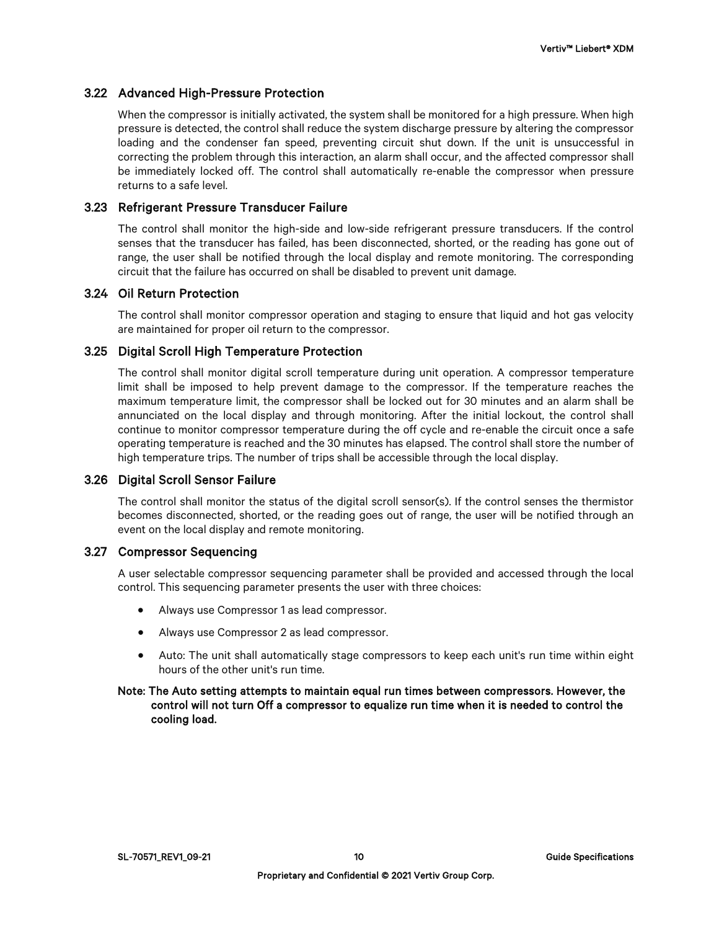# 3.22 Advanced High-Pressure Protection

When the compressor is initially activated, the system shall be monitored for a high pressure. When high pressure is detected, the control shall reduce the system discharge pressure by altering the compressor loading and the condenser fan speed, preventing circuit shut down. If the unit is unsuccessful in correcting the problem through this interaction, an alarm shall occur, and the affected compressor shall be immediately locked off. The control shall automatically re-enable the compressor when pressure returns to a safe level.

# 3.23 Refrigerant Pressure Transducer Failure

The control shall monitor the high-side and low-side refrigerant pressure transducers. If the control senses that the transducer has failed, has been disconnected, shorted, or the reading has gone out of range, the user shall be notified through the local display and remote monitoring. The corresponding circuit that the failure has occurred on shall be disabled to prevent unit damage.

# 3.24 Oil Return Protection

The control shall monitor compressor operation and staging to ensure that liquid and hot gas velocity are maintained for proper oil return to the compressor.

# 3.25 Digital Scroll High Temperature Protection

The control shall monitor digital scroll temperature during unit operation. A compressor temperature limit shall be imposed to help prevent damage to the compressor. If the temperature reaches the maximum temperature limit, the compressor shall be locked out for 30 minutes and an alarm shall be annunciated on the local display and through monitoring. After the initial lockout, the control shall continue to monitor compressor temperature during the off cycle and re-enable the circuit once a safe operating temperature is reached and the 30 minutes has elapsed. The control shall store the number of high temperature trips. The number of trips shall be accessible through the local display.

#### 3.26 Digital Scroll Sensor Failure

The control shall monitor the status of the digital scroll sensor(s). If the control senses the thermistor becomes disconnected, shorted, or the reading goes out of range, the user will be notified through an event on the local display and remote monitoring.

#### 3.27 Compressor Sequencing

A user selectable compressor sequencing parameter shall be provided and accessed through the local control. This sequencing parameter presents the user with three choices:

- Always use Compressor 1 as lead compressor.
- Always use Compressor 2 as lead compressor.
- Auto: The unit shall automatically stage compressors to keep each unit's run time within eight hours of the other unit's run time.

#### Note: The Auto setting attempts to maintain equal run times between compressors. However, the control will not turn Off a compressor to equalize run time when it is needed to control the cooling load.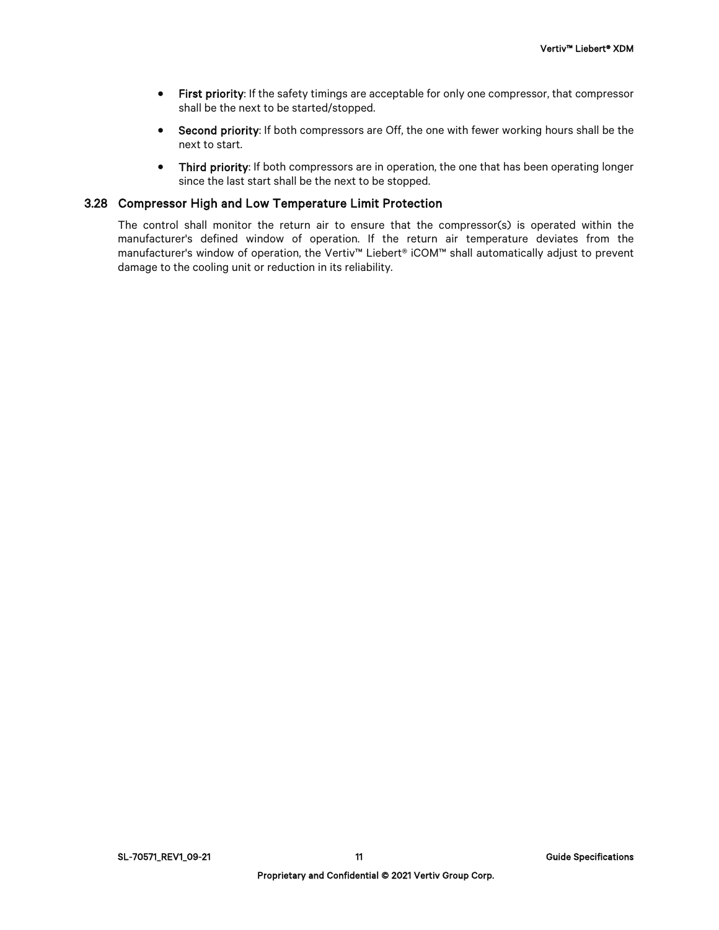- First priority: If the safety timings are acceptable for only one compressor, that compressor shall be the next to be started/stopped.
- Second priority: If both compressors are Off, the one with fewer working hours shall be the next to start.
- Third priority: If both compressors are in operation, the one that has been operating longer since the last start shall be the next to be stopped.

#### 3.28 Compressor High and Low Temperature Limit Protection

The control shall monitor the return air to ensure that the compressor(s) is operated within the manufacturer's defined window of operation. If the return air temperature deviates from the manufacturer's window of operation, the Vertiv™ Liebert® iCOM™ shall automatically adjust to prevent damage to the cooling unit or reduction in its reliability.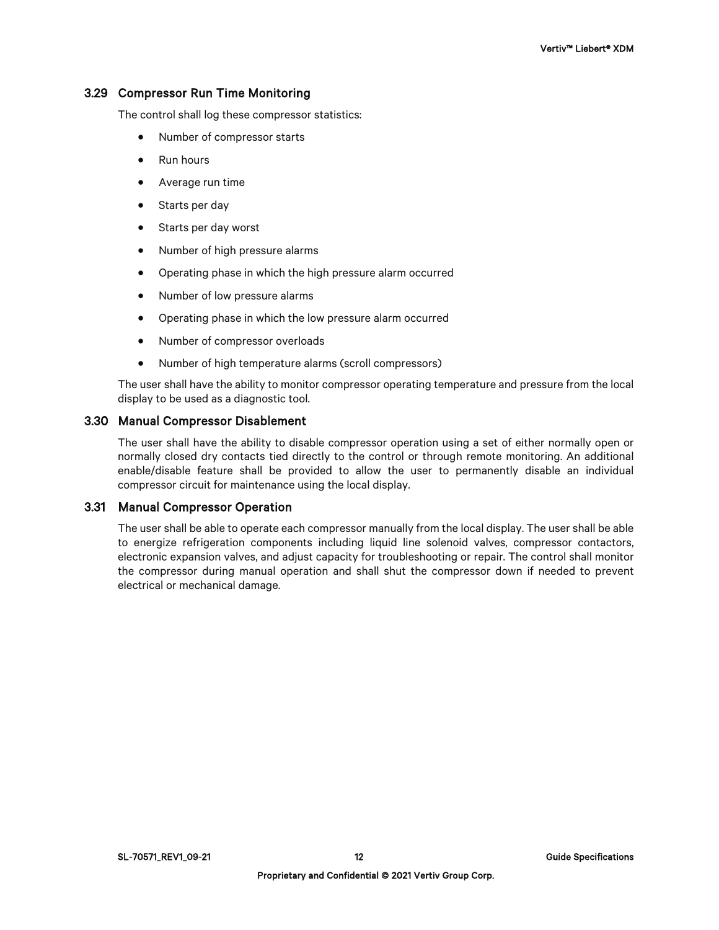#### 3.29 Compressor Run Time Monitoring

The control shall log these compressor statistics:

- Number of compressor starts
- Run hours
- Average run time
- Starts per day
- Starts per day worst
- Number of high pressure alarms
- Operating phase in which the high pressure alarm occurred
- Number of low pressure alarms
- Operating phase in which the low pressure alarm occurred
- Number of compressor overloads
- Number of high temperature alarms (scroll compressors)

The user shall have the ability to monitor compressor operating temperature and pressure from the local display to be used as a diagnostic tool.

#### 3.30 Manual Compressor Disablement

The user shall have the ability to disable compressor operation using a set of either normally open or normally closed dry contacts tied directly to the control or through remote monitoring. An additional enable/disable feature shall be provided to allow the user to permanently disable an individual compressor circuit for maintenance using the local display.

#### 3.31 Manual Compressor Operation

The user shall be able to operate each compressor manually from the local display. The user shall be able to energize refrigeration components including liquid line solenoid valves, compressor contactors, electronic expansion valves, and adjust capacity for troubleshooting or repair. The control shall monitor the compressor during manual operation and shall shut the compressor down if needed to prevent electrical or mechanical damage.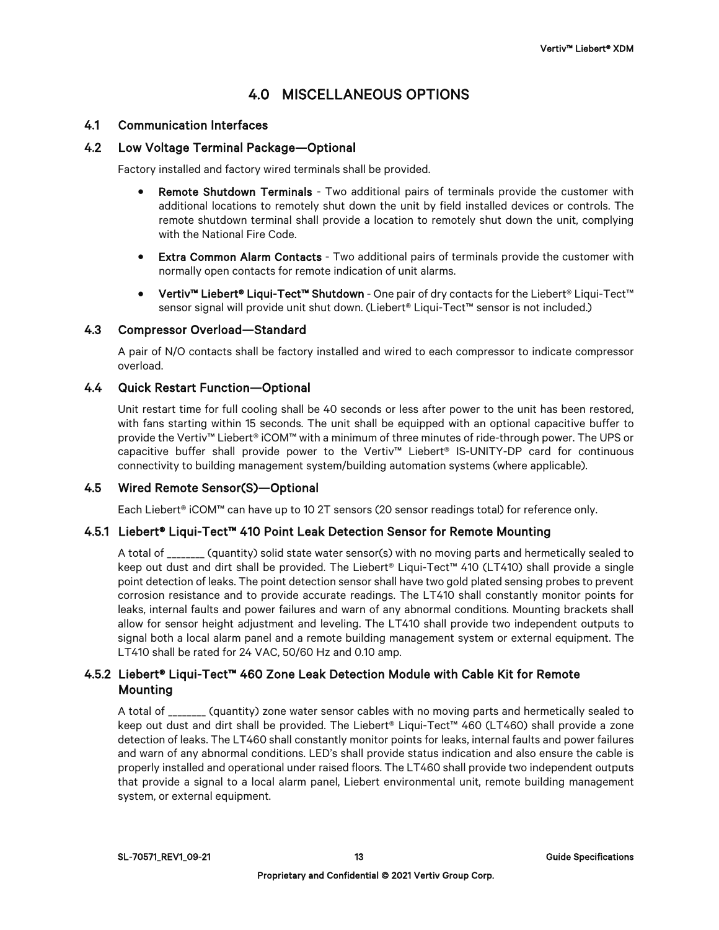# 4.0 MISCELLANEOUS OPTIONS

# 4.1 Communication Interfaces

# 4.2 Low Voltage Terminal Package—Optional

Factory installed and factory wired terminals shall be provided.

- **Remote Shutdown Terminals** Two additional pairs of terminals provide the customer with additional locations to remotely shut down the unit by field installed devices or controls. The remote shutdown terminal shall provide a location to remotely shut down the unit, complying with the National Fire Code.
- **Extra Common Alarm Contacts** Two additional pairs of terminals provide the customer with normally open contacts for remote indication of unit alarms.
- Vertiv™ Liebert® Liqui-Tect™ Shutdown One pair of dry contacts for the Liebert® Liqui-Tect™ sensor signal will provide unit shut down. (Liebert® Liqui-Tect™ sensor is not included.)

#### 4.3 Compressor Overload—Standard

A pair of N/O contacts shall be factory installed and wired to each compressor to indicate compressor overload.

#### 4.4 Quick Restart Function—Optional

Unit restart time for full cooling shall be 40 seconds or less after power to the unit has been restored, with fans starting within 15 seconds. The unit shall be equipped with an optional capacitive buffer to provide the Vertiv™ Liebert® iCOM™ with a minimum of three minutes of ride-through power. The UPS or capacitive buffer shall provide power to the Vertiv™ Liebert® IS-UNITY-DP card for continuous connectivity to building management system/building automation systems (where applicable).

#### 4.5 Wired Remote Sensor(S)—Optional

Each Liebert® iCOM™ can have up to 10 2T sensors (20 sensor readings total) for reference only.

#### 4.5.1 Liebert® Liqui-Tect™ 410 Point Leak Detection Sensor for Remote Mounting

A total of \_\_\_\_\_\_\_\_ (quantity) solid state water sensor(s) with no moving parts and hermetically sealed to keep out dust and dirt shall be provided. The Liebert® Liqui-Tect™ 410 (LT410) shall provide a single point detection of leaks. The point detection sensor shall have two gold plated sensing probes to prevent corrosion resistance and to provide accurate readings. The LT410 shall constantly monitor points for leaks, internal faults and power failures and warn of any abnormal conditions. Mounting brackets shall allow for sensor height adjustment and leveling. The LT410 shall provide two independent outputs to signal both a local alarm panel and a remote building management system or external equipment. The LT410 shall be rated for 24 VAC, 50/60 Hz and 0.10 amp.

# 4.5.2 Liebert® Liqui-Tect™ 460 Zone Leak Detection Module with Cable Kit for Remote **Mounting**

A total of \_\_\_\_\_\_\_\_ (quantity) zone water sensor cables with no moving parts and hermetically sealed to keep out dust and dirt shall be provided. The Liebert® Liqui-Tect™ 460 (LT460) shall provide a zone detection of leaks. The LT460 shall constantly monitor points for leaks, internal faults and power failures and warn of any abnormal conditions. LED's shall provide status indication and also ensure the cable is properly installed and operational under raised floors. The LT460 shall provide two independent outputs that provide a signal to a local alarm panel, Liebert environmental unit, remote building management system, or external equipment.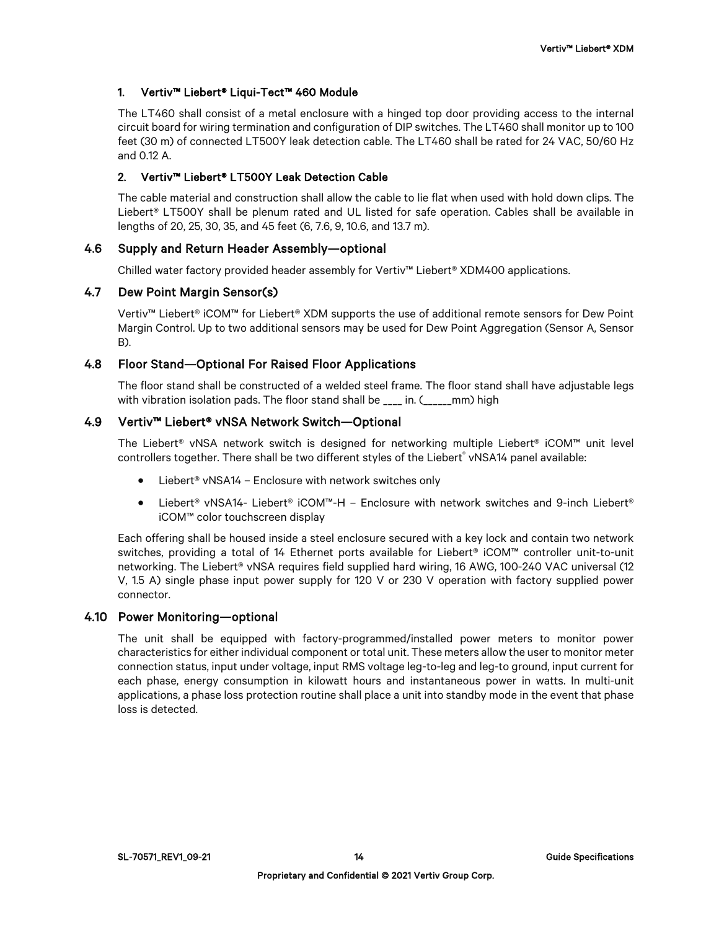# 1. Vertiv™ Liebert® Liqui-Tect™ 460 Module

The LT460 shall consist of a metal enclosure with a hinged top door providing access to the internal circuit board for wiring termination and configuration of DIP switches. The LT460 shall monitor up to 100 feet (30 m) of connected LT500Y leak detection cable. The LT460 shall be rated for 24 VAC, 50/60 Hz and 0.12 A.

# 2. Vertiv™ Liebert® LT500Y Leak Detection Cable

The cable material and construction shall allow the cable to lie flat when used with hold down clips. The Liebert<sup>®</sup> LT500Y shall be plenum rated and UL listed for safe operation. Cables shall be available in lengths of 20, 25, 30, 35, and 45 feet (6, 7.6, 9, 10.6, and 13.7 m).

# 4.6 Supply and Return Header Assembly—optional

Chilled water factory provided header assembly for Vertiv™ Liebert® XDM400 applications.

#### 4.7 Dew Point Margin Sensor(s)

Vertiv™ Liebert® iCOM™ for Liebert® XDM supports the use of additional remote sensors for Dew Point Margin Control. Up to two additional sensors may be used for Dew Point Aggregation (Sensor A, Sensor B).

# 4.8 Floor Stand—Optional For Raised Floor Applications

The floor stand shall be constructed of a welded steel frame. The floor stand shall have adjustable legs with vibration isolation pads. The floor stand shall be  $\qquad$  in. ( $\qquad$  mm) high

# 4.9 Vertiv™ Liebert® vNSA Network Switch—Optional

The Liebert® vNSA network switch is designed for networking multiple Liebert® iCOM™ unit level controllers together. There shall be two different styles of the Liebert® vNSA14 panel available:

- Liebert<sup>®</sup> vNSA14 Enclosure with network switches only
- Liebert® vNSA14- Liebert® iCOM™-H Enclosure with network switches and 9-inch Liebert® iCOM™ color touchscreen display

Each offering shall be housed inside a steel enclosure secured with a key lock and contain two network switches, providing a total of 14 Ethernet ports available for Liebert® iCOM™ controller unit-to-unit networking. The Liebert<sup>®</sup> vNSA requires field supplied hard wiring, 16 AWG, 100-240 VAC universal (12 V, 1.5 A) single phase input power supply for 120 V or 230 V operation with factory supplied power connector.

#### 4.10 Power Monitoring—optional

The unit shall be equipped with factory-programmed/installed power meters to monitor power characteristics for either individual component or total unit. These meters allow the user to monitor meter connection status, input under voltage, input RMS voltage leg-to-leg and leg-to ground, input current for each phase, energy consumption in kilowatt hours and instantaneous power in watts. In multi-unit applications, a phase loss protection routine shall place a unit into standby mode in the event that phase loss is detected.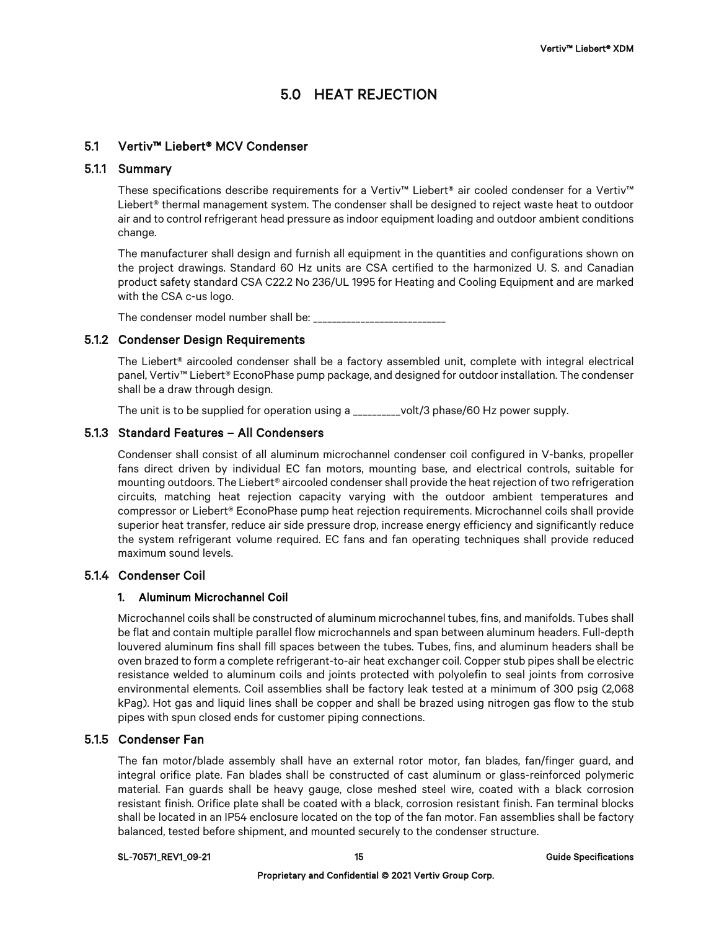# 5.0 HEAT REJECTION

# 5.1 Vertiv™ Liebert® MCV Condenser

#### 5.1.1 Summary

These specifications describe requirements for a Vertiv™ Liebert® air cooled condenser for a Vertiv™ Liebert® thermal management system. The condenser shall be designed to reject waste heat to outdoor air and to control refrigerant head pressure as indoor equipment loading and outdoor ambient conditions change.

The manufacturer shall design and furnish all equipment in the quantities and configurations shown on the project drawings. Standard 60 Hz units are CSA certified to the harmonized U. S. and Canadian product safety standard CSA C22.2 No 236/UL 1995 for Heating and Cooling Equipment and are marked with the CSA c-us logo.

The condenser model number shall be: \_\_\_\_\_\_\_\_\_\_\_\_\_\_\_\_\_\_\_\_\_\_\_\_\_\_\_\_

#### 5.1.2 Condenser Design Requirements

The Liebert® aircooled condenser shall be a factory assembled unit, complete with integral electrical panel, Vertiv™ Liebert® EconoPhase pump package, and designed for outdoor installation. The condenser shall be a draw through design.

The unit is to be supplied for operation using a \_\_\_\_\_\_\_\_\_\_volt/3 phase/60 Hz power supply.

#### 5.1.3 Standard Features – All Condensers

Condenser shall consist of all aluminum microchannel condenser coil configured in V-banks, propeller fans direct driven by individual EC fan motors, mounting base, and electrical controls, suitable for mounting outdoors. The Liebert® aircooled condenser shall provide the heat rejection of two refrigeration circuits, matching heat rejection capacity varying with the outdoor ambient temperatures and compressor or Liebert® EconoPhase pump heat rejection requirements. Microchannel coils shall provide superior heat transfer, reduce air side pressure drop, increase energy efficiency and significantly reduce the system refrigerant volume required. EC fans and fan operating techniques shall provide reduced maximum sound levels.

# 5.1.4 Condenser Coil

#### 1. Aluminum Microchannel Coil

Microchannel coils shall be constructed of aluminum microchannel tubes, fins, and manifolds. Tubes shall be flat and contain multiple parallel flow microchannels and span between aluminum headers. Full-depth louvered aluminum fins shall fill spaces between the tubes. Tubes, fins, and aluminum headers shall be oven brazed to form a complete refrigerant-to-air heat exchanger coil. Copper stub pipes shall be electric resistance welded to aluminum coils and joints protected with polyolefin to seal joints from corrosive environmental elements. Coil assemblies shall be factory leak tested at a minimum of 300 psig (2,068 kPag). Hot gas and liquid lines shall be copper and shall be brazed using nitrogen gas flow to the stub pipes with spun closed ends for customer piping connections.

#### 5.1.5 Condenser Fan

The fan motor/blade assembly shall have an external rotor motor, fan blades, fan/finger guard, and integral orifice plate. Fan blades shall be constructed of cast aluminum or glass-reinforced polymeric material. Fan guards shall be heavy gauge, close meshed steel wire, coated with a black corrosion resistant finish. Orifice plate shall be coated with a black, corrosion resistant finish. Fan terminal blocks shall be located in an IP54 enclosure located on the top of the fan motor. Fan assemblies shall be factory balanced, tested before shipment, and mounted securely to the condenser structure.

#### SL-70571\_REV1\_09-21 15 Guide Specifications and the set of the set of the set of the Specifications of the Specifications of the Specifications of the Specifications of the Specifications of the Specifications of the Speci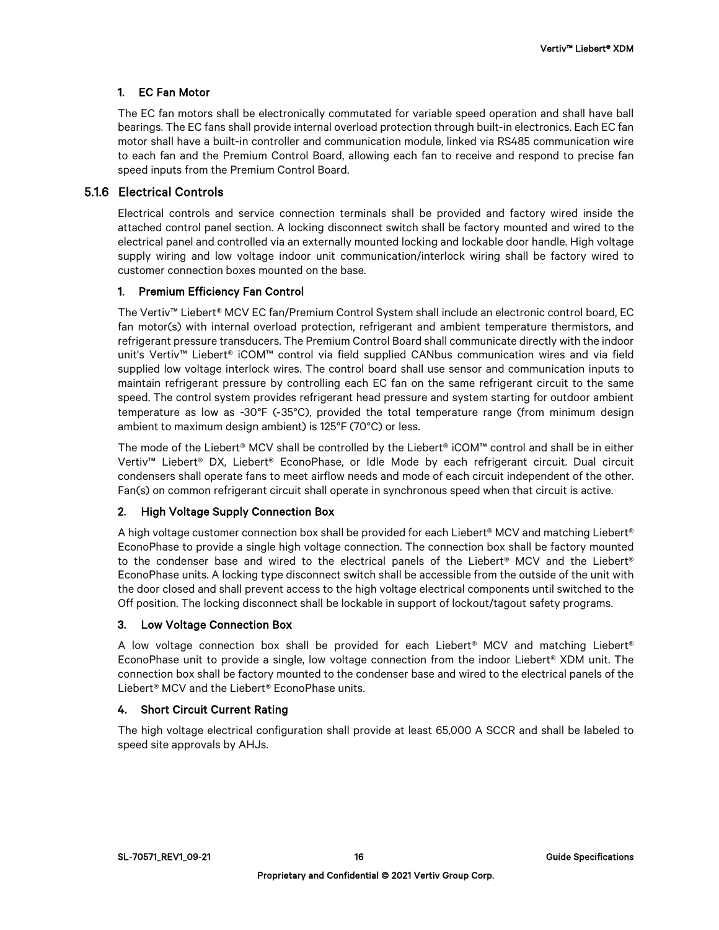# 1. EC Fan Motor

The EC fan motors shall be electronically commutated for variable speed operation and shall have ball bearings. The EC fans shall provide internal overload protection through built-in electronics. Each EC fan motor shall have a built-in controller and communication module, linked via RS485 communication wire to each fan and the Premium Control Board, allowing each fan to receive and respond to precise fan speed inputs from the Premium Control Board.

# 5.1.6 Electrical Controls

Electrical controls and service connection terminals shall be provided and factory wired inside the attached control panel section. A locking disconnect switch shall be factory mounted and wired to the electrical panel and controlled via an externally mounted locking and lockable door handle. High voltage supply wiring and low voltage indoor unit communication/interlock wiring shall be factory wired to customer connection boxes mounted on the base.

#### 1. Premium Efficiency Fan Control

The Vertiv™ Liebert® MCV EC fan/Premium Control System shall include an electronic control board, EC fan motor(s) with internal overload protection, refrigerant and ambient temperature thermistors, and refrigerant pressure transducers. The Premium Control Board shall communicate directly with the indoor unit's Vertiv™ Liebert® iCOM™ control via field supplied CANbus communication wires and via field supplied low voltage interlock wires. The control board shall use sensor and communication inputs to maintain refrigerant pressure by controlling each EC fan on the same refrigerant circuit to the same speed. The control system provides refrigerant head pressure and system starting for outdoor ambient temperature as low as -30°F (‐35°C), provided the total temperature range (from minimum design ambient to maximum design ambient) is 125°F (70°C) or less.

The mode of the Liebert® MCV shall be controlled by the Liebert® iCOM™ control and shall be in either Vertiv™ Liebert® DX, Liebert® EconoPhase, or Idle Mode by each refrigerant circuit. Dual circuit condensers shall operate fans to meet airflow needs and mode of each circuit independent of the other. Fan(s) on common refrigerant circuit shall operate in synchronous speed when that circuit is active.

#### 2. High Voltage Supply Connection Box

A high voltage customer connection box shall be provided for each Liebert® MCV and matching Liebert® EconoPhase to provide a single high voltage connection. The connection box shall be factory mounted to the condenser base and wired to the electrical panels of the Liebert® MCV and the Liebert® EconoPhase units. A locking type disconnect switch shall be accessible from the outside of the unit with the door closed and shall prevent access to the high voltage electrical components until switched to the Off position. The locking disconnect shall be lockable in support of lockout/tagout safety programs.

#### 3. Low Voltage Connection Box

A low voltage connection box shall be provided for each Liebert® MCV and matching Liebert® EconoPhase unit to provide a single, low voltage connection from the indoor Liebert® XDM unit. The connection box shall be factory mounted to the condenser base and wired to the electrical panels of the Liebert® MCV and the Liebert® EconoPhase units.

#### 4. Short Circuit Current Rating

The high voltage electrical configuration shall provide at least 65,000 A SCCR and shall be labeled to speed site approvals by AHJs.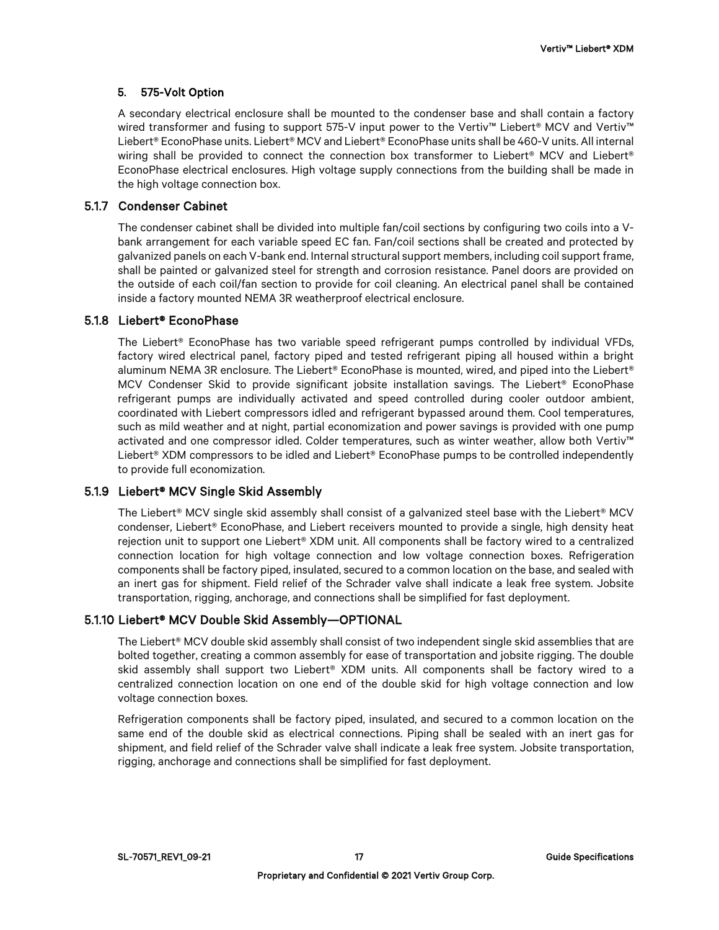# 5. 575-Volt Option

A secondary electrical enclosure shall be mounted to the condenser base and shall contain a factory wired transformer and fusing to support 575-V input power to the Vertiv™ Liebert® MCV and Vertiv™ Liebert® EconoPhase units. Liebert® MCV and Liebert® EconoPhase units shall be 460-V units. All internal wiring shall be provided to connect the connection box transformer to Liebert® MCV and Liebert® EconoPhase electrical enclosures. High voltage supply connections from the building shall be made in the high voltage connection box.

# 5.1.7 Condenser Cabinet

The condenser cabinet shall be divided into multiple fan/coil sections by configuring two coils into a Vbank arrangement for each variable speed EC fan. Fan/coil sections shall be created and protected by galvanized panels on each V-bank end. Internal structural support members, including coil support frame, shall be painted or galvanized steel for strength and corrosion resistance. Panel doors are provided on the outside of each coil/fan section to provide for coil cleaning. An electrical panel shall be contained inside a factory mounted NEMA 3R weatherproof electrical enclosure.

#### 5.1.8 Liebert® EconoPhase

The Liebert® EconoPhase has two variable speed refrigerant pumps controlled by individual VFDs, factory wired electrical panel, factory piped and tested refrigerant piping all housed within a bright aluminum NEMA 3R enclosure. The Liebert® EconoPhase is mounted, wired, and piped into the Liebert® MCV Condenser Skid to provide significant jobsite installation savings. The Liebert<sup>®</sup> EconoPhase refrigerant pumps are individually activated and speed controlled during cooler outdoor ambient, coordinated with Liebert compressors idled and refrigerant bypassed around them. Cool temperatures, such as mild weather and at night, partial economization and power savings is provided with one pump activated and one compressor idled. Colder temperatures, such as winter weather, allow both Vertiv™ Liebert<sup>®</sup> XDM compressors to be idled and Liebert<sup>®</sup> EconoPhase pumps to be controlled independently to provide full economization.

# 5.1.9 Liebert® MCV Single Skid Assembly

The Liebert® MCV single skid assembly shall consist of a galvanized steel base with the Liebert® MCV condenser, Liebert® EconoPhase, and Liebert receivers mounted to provide a single, high density heat rejection unit to support one Liebert® XDM unit. All components shall be factory wired to a centralized connection location for high voltage connection and low voltage connection boxes. Refrigeration components shall be factory piped, insulated, secured to a common location on the base, and sealed with an inert gas for shipment. Field relief of the Schrader valve shall indicate a leak free system. Jobsite transportation, rigging, anchorage, and connections shall be simplified for fast deployment.

# 5.1.10 Liebert® MCV Double Skid Assembly—OPTIONAL

The Liebert® MCV double skid assembly shall consist of two independent single skid assemblies that are bolted together, creating a common assembly for ease of transportation and jobsite rigging. The double skid assembly shall support two Liebert® XDM units. All components shall be factory wired to a centralized connection location on one end of the double skid for high voltage connection and low voltage connection boxes.

Refrigeration components shall be factory piped, insulated, and secured to a common location on the same end of the double skid as electrical connections. Piping shall be sealed with an inert gas for shipment, and field relief of the Schrader valve shall indicate a leak free system. Jobsite transportation, rigging, anchorage and connections shall be simplified for fast deployment.